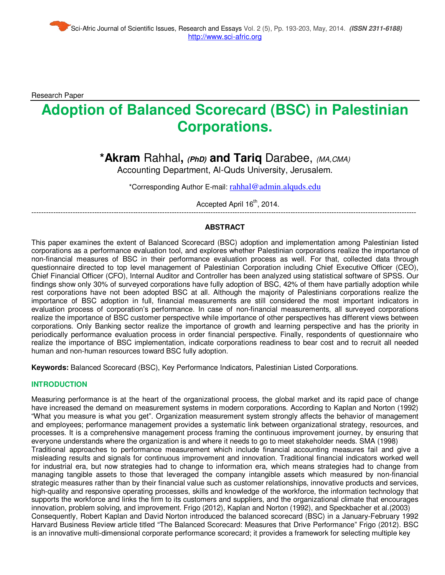Research Paper

# **Adoption of Balanced Scorecard (BSC) in Palestinian Corporations.**

## **\*Akram** Rahhal**, (PhD) and Tariq** Darabee, (MA,CMA)

Accounting Department, Al-Quds University, Jerusalem.

\*Corresponding Author E-mail: rahhal@admin.alquds.edu

Accepted April 16<sup>th</sup>, 2014.

### --------------------------------------------------------------------------------------------------------------------------------------------------------------- **ABSTRACT**

This paper examines the extent of Balanced Scorecard (BSC) adoption and implementation among Palestinian listed corporations as a performance evaluation tool, and explores whether Palestinian corporations realize the importance of non-financial measures of BSC in their performance evaluation process as well. For that, collected data through questionnaire directed to top level management of Palestinian Corporation including Chief Executive Officer (CEO), Chief Financial Officer (CFO), Internal Auditor and Controller has been analyzed using statistical software of SPSS. Our findings show only 30% of surveyed corporations have fully adoption of BSC, 42% of them have partially adoption while rest corporations have not been adopted BSC at all. Although the majority of Palestinians corporations realize the importance of BSC adoption in full, financial measurements are still considered the most important indicators in evaluation process of corporation's performance. In case of non-financial measurements, all surveyed corporations realize the importance of BSC customer perspective while importance of other perspectives has different views between corporations. Only Banking sector realize the importance of growth and learning perspective and has the priority in periodically performance evaluation process in order financial perspective. Finally, respondents of questionnaire who realize the importance of BSC implementation, indicate corporations readiness to bear cost and to recruit all needed human and non-human resources toward BSC fully adoption.

**Keywords:** Balanced Scorecard (BSC), Key Performance Indicators, Palestinian Listed Corporations.

#### **INTRODUCTION**

Measuring performance is at the heart of the organizational process, the global market and its rapid pace of change have increased the demand on measurement systems in modern corporations. According to Kaplan and Norton (1992) "What you measure is what you get". Organization measurement system strongly affects the behavior of management and employees; performance management provides a systematic link between organizational strategy, resources, and processes. It is a comprehensive management process framing the continuous improvement journey, by ensuring that everyone understands where the organization is and where it needs to go to meet stakeholder needs. SMA (1998) Traditional approaches to performance measurement which include financial accounting measures fail and give a misleading results and signals for continuous improvement and innovation. Traditional financial indicators worked well for industrial era, but now strategies had to change to information era, which means strategies had to change from managing tangible assets to those that leveraged the company intangible assets which measured by non-financial strategic measures rather than by their financial value such as customer relationships, innovative products and services, high-quality and responsive operating processes, skills and knowledge of the workforce, the information technology that supports the workforce and links the firm to its customers and suppliers, and the organizational climate that encourages innovation, problem solving, and improvement. Frigo (2012), Kaplan and Norton (1992), and Speckbacher et al.(2003) Consequently, Robert Kaplan and David Norton introduced the balanced scorecard (BSC) in a January-February 1992 Harvard Business Review article titled "The Balanced Scorecard: Measures that Drive Performance" Frigo (2012). BSC is an innovative multi-dimensional corporate performance scorecard; it provides a framework for selecting multiple key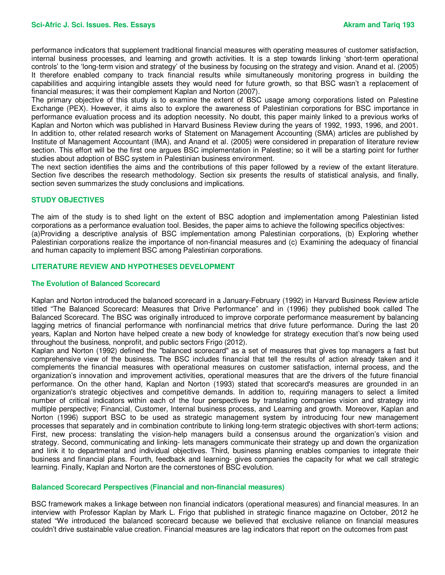performance indicators that supplement traditional financial measures with operating measures of customer satisfaction, internal business processes, and learning and growth activities. It is a step towards linking 'short-term operational controls' to the 'long-term vision and strategy' of the business by focusing on the strategy and vision. Anand et al. (2005) It therefore enabled company to track financial results while simultaneously monitoring progress in building the capabilities and acquiring intangible assets they would need for future growth, so that BSC wasn't a replacement of financial measures; it was their complement Kaplan and Norton (2007).

The primary objective of this study is to examine the extent of BSC usage among corporations listed on Palestine Exchange (PEX). However, it aims also to explore the awareness of Palestinian corporations for BSC importance in performance evaluation process and its adoption necessity. No doubt, this paper mainly linked to a previous works of Kaplan and Norton which was published in Harvard Business Review during the years of 1992, 1993, 1996, and 2001. In addition to, other related research works of Statement on Management Accounting (SMA) articles are published by Institute of Management Accountant (IMA), and Anand et al. (2005) were considered in preparation of literature review section. This effort will be the first one argues BSC implementation in Palestine; so it will be a starting point for further studies about adoption of BSC system in Palestinian business environment.

The next section identifies the aims and the contributions of this paper followed by a review of the extant literature. Section five describes the research methodology. Section six presents the results of statistical analysis, and finally, section seven summarizes the study conclusions and implications.

#### **STUDY OBJECTIVES**

The aim of the study is to shed light on the extent of BSC adoption and implementation among Palestinian listed corporations as a performance evaluation tool. Besides, the paper aims to achieve the following specifics objectives: (a)Providing a descriptive analysis of BSC implementation among Palestinian corporations, (b) Exploring whether Palestinian corporations realize the importance of non-financial measures and (c) Examining the adequacy of financial and human capacity to implement BSC among Palestinian corporations.

#### **LITERATURE REVIEW AND HYPOTHESES DEVELOPMENT**

#### **The Evolution of Balanced Scorecard**

Kaplan and Norton introduced the balanced scorecard in a January-February (1992) in Harvard Business Review article titled "The Balanced Scorecard: Measures that Drive Performance" and in (1996) they published book called The Balanced Scorecard. The BSC was originally introduced to improve corporate performance measurement by balancing lagging metrics of financial performance with nonfinancial metrics that drive future performance. During the last 20 years, Kaplan and Norton have helped create a new body of knowledge for strategy execution that's now being used throughout the business, nonprofit, and public sectors Frigo (2012).

Kaplan and Norton (1992) defined the "balanced scorecard" as a set of measures that gives top managers a fast but comprehensive view of the business. The BSC includes financial that tell the results of action already taken and it complements the financial measures with operational measures on customer satisfaction, internal process, and the organization's innovation and improvement activities, operational measures that are the drivers of the future financial performance. On the other hand, Kaplan and Norton (1993) stated that scorecard's measures are grounded in an organization's strategic objectives and competitive demands. In addition to, requiring managers to select a limited number of critical indicators within each of the four perspectives by translating companies vision and strategy into multiple perspective; Financial, Customer, Internal business process, and Learning and growth. Moreover, Kaplan and Norton (1996) support BSC to be used as strategic management system by introducing four new management processes that separately and in combination contribute to linking long-term strategic objectives with short-term actions; First, new process: translating the vision-help managers build a consensus around the organization's vision and strategy. Second, communicating and linking- lets managers communicate their strategy up and down the organization and link it to departmental and individual objectives. Third, business planning enables companies to integrate their business and financial plans. Fourth, feedback and learning- gives companies the capacity for what we call strategic learning. Finally, Kaplan and Norton are the cornerstones of BSC evolution.

#### **Balanced Scorecard Perspectives (Financial and non-financial measures)**

BSC framework makes a linkage between non financial indicators (operational measures) and financial measures. In an interview with Professor Kaplan by Mark L. Frigo that published in strategic finance magazine on October, 2012 he stated "We introduced the balanced scorecard because we believed that exclusive reliance on financial measures couldn't drive sustainable value creation. Financial measures are lag indicators that report on the outcomes from past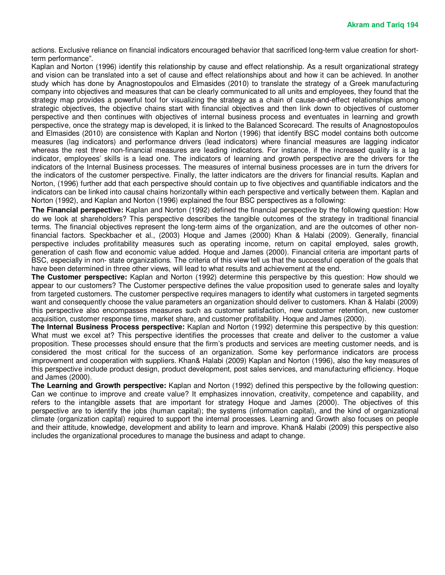actions. Exclusive reliance on financial indicators encouraged behavior that sacrificed long-term value creation for shortterm performance".

Kaplan and Norton (1996) identify this relationship by cause and effect relationship. As a result organizational strategy and vision can be translated into a set of cause and effect relationships about and how it can be achieved. In another study which has done by Anagnostopoulos and Elmasides (2010) to translate the strategy of a Greek manufacturing company into objectives and measures that can be clearly communicated to all units and employees, they found that the strategy map provides a powerful tool for visualizing the strategy as a chain of cause-and-effect relationships among strategic objectives, the objective chains start with financial objectives and then link down to objectives of customer perspective and then continues with objectives of internal business process and eventuates in learning and growth perspective, once the strategy map is developed, it is linked to the Balanced Scorecard. The results of Anagnostopoulos and Elmasides (2010) are consistence with Kaplan and Norton (1996) that identify BSC model contains both outcome measures (lag indicators) and performance drivers (lead indicators) where financial measures are lagging indicator whereas the rest three non-financial measures are leading indicators. For instance, if the increased quality is a lag indicator, employees' skills is a lead one. The indicators of learning and growth perspective are the drivers for the indicators of the Internal Business processes. The measures of internal business processes are in turn the drivers for the indicators of the customer perspective. Finally, the latter indicators are the drivers for financial results. Kaplan and Norton, (1996) further add that each perspective should contain up to five objectives and quantifiable indicators and the indicators can be linked into causal chains horizontally within each perspective and vertically between them. Kaplan and Norton (1992), and Kaplan and Norton (1996) explained the four BSC perspectives as a following:

**The Financial perspective:** Kaplan and Norton (1992) defined the financial perspective by the following question: How do we look at shareholders? This perspective describes the tangible outcomes of the strategy in traditional financial terms. The financial objectives represent the long-term aims of the organization, and are the outcomes of other nonfinancial factors. Speckbacher et al., (2003) Hoque and James (2000) Khan & Halabi (2009). Generally, financial perspective includes profitability measures such as operating income, return on capital employed, sales growth, generation of cash flow and economic value added. Hoque and James (2000). Financial criteria are important parts of BSC, especially in non- state organizations. The criteria of this view tell us that the successful operation of the goals that have been determined in three other views, will lead to what results and achievement at the end.

**The Customer perspective:** Kaplan and Norton (1992) determine this perspective by this question: How should we appear to our customers? The Customer perspective defines the value proposition used to generate sales and loyalty from targeted customers. The customer perspective requires managers to identify what customers in targeted segments want and consequently choose the value parameters an organization should deliver to customers. Khan & Halabi (2009) this perspective also encompasses measures such as customer satisfaction, new customer retention, new customer acquisition, customer response time, market share, and customer profitability. Hoque and James (2000).

**The Internal Business Process perspective:** Kaplan and Norton (1992) determine this perspective by this question: What must we excel at? This perspective identifies the processes that create and deliver to the customer a value proposition. These processes should ensure that the firm's products and services are meeting customer needs, and is considered the most critical for the success of an organization. Some key performance indicators are process improvement and cooperation with suppliers. Khan& Halabi (2009) Kaplan and Norton (1996), also the key measures of this perspective include product design, product development, post sales services, and manufacturing efficiency. Hoque and James (2000).

**The Learning and Growth perspective:** Kaplan and Norton (1992) defined this perspective by the following question: Can we continue to improve and create value? It emphasizes innovation, creativity, competence and capability, and refers to the intangible assets that are important for strategy Hoque and James (2000). The objectives of this perspective are to identify the jobs (human capital); the systems (information capital), and the kind of organizational climate (organization capital) required to support the internal processes. Learning and Growth also focuses on people and their attitude, knowledge, development and ability to learn and improve. Khan& Halabi (2009) this perspective also includes the organizational procedures to manage the business and adapt to change.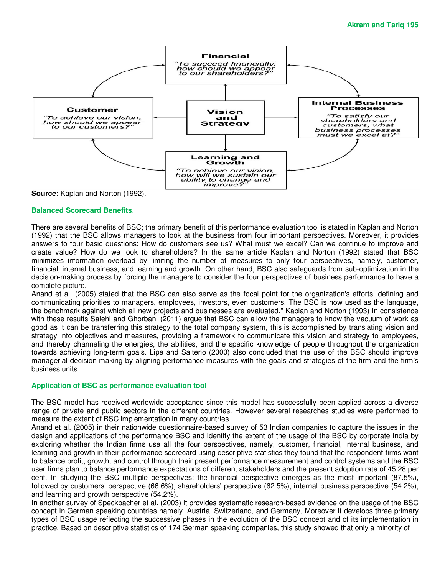

**Source:** Kaplan and Norton (1992).

#### **Balanced Scorecard Benefits**.

There are several benefits of BSC; the primary benefit of this performance evaluation tool is stated in Kaplan and Norton (1992) that the BSC allows managers to look at the business from four important perspectives. Moreover, it provides answers to four basic questions: How do customers see us? What must we excel? Can we continue to improve and create value? How do we look to shareholders? In the same article Kaplan and Norton (1992) stated that BSC minimizes information overload by limiting the number of measures to only four perspectives, namely, customer, financial, internal business, and learning and growth. On other hand, BSC also safeguards from sub-optimization in the decision-making process by forcing the managers to consider the four perspectives of business performance to have a complete picture.

Anand et al. (2005) stated that the BSC can also serve as the focal point for the organization's efforts, defining and communicating priorities to managers, employees, investors, even customers. The BSC is now used as the language, the benchmark against which all new projects and businesses are evaluated." Kaplan and Norton (1993) In consistence with these results Salehi and Ghorbani (2011) argue that BSC can allow the managers to know the vacuum of work as good as it can be transferring this strategy to the total company system, this is accomplished by translating vision and strategy into objectives and measures, providing a framework to communicate this vision and strategy to employees, and thereby channeling the energies, the abilities, and the specific knowledge of people throughout the organization towards achieving long-term goals. Lipe and Salterio (2000) also concluded that the use of the BSC should improve managerial decision making by aligning performance measures with the goals and strategies of the firm and the firm's business units.

#### **Application of BSC as performance evaluation tool**

The BSC model has received worldwide acceptance since this model has successfully been applied across a diverse range of private and public sectors in the different countries. However several researches studies were performed to measure the extent of BSC implementation in many countries.

Anand et al. (2005) in their nationwide questionnaire-based survey of 53 Indian companies to capture the issues in the design and applications of the performance BSC and identify the extent of the usage of the BSC by corporate India by exploring whether the Indian firms use all the four perspectives, namely, customer, financial, internal business, and learning and growth in their performance scorecard using descriptive statistics they found that the respondent firms want to balance profit, growth, and control through their present performance measurement and control systems and the BSC user firms plan to balance performance expectations of different stakeholders and the present adoption rate of 45.28 per cent. In studying the BSC multiple perspectives; the financial perspective emerges as the most important (87.5%), followed by customers' perspective (66.6%), shareholders' perspective (62.5%), internal business perspective (54.2%), and learning and growth perspective (54.2%).

In another survey of Speckbacher et al. (2003) it provides systematic research-based evidence on the usage of the BSC concept in German speaking countries namely, Austria, Switzerland, and Germany, Moreover it develops three primary types of BSC usage reflecting the successive phases in the evolution of the BSC concept and of its implementation in practice. Based on descriptive statistics of 174 German speaking companies, this study showed that only a minority of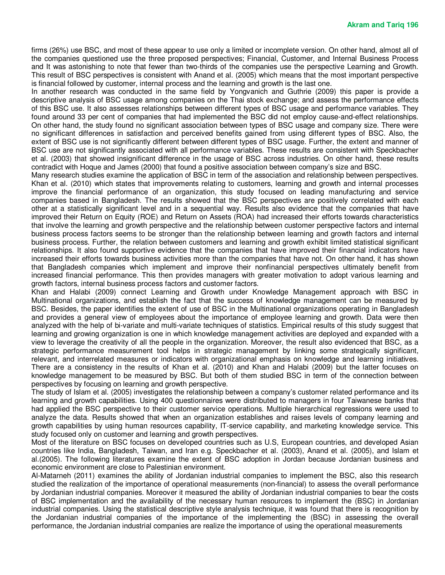firms (26%) use BSC, and most of these appear to use only a limited or incomplete version. On other hand, almost all of the companies questioned use the three proposed perspectives; Financial, Customer, and Internal Business Process and It was astonishing to note that fewer than two-thirds of the companies use the perspective Learning and Growth. This result of BSC perspectives is consistent with Anand et al. (2005) which means that the most important perspective is financial followed by customer, internal process and the learning and growth is the last one.

In another research was conducted in the same field by Yongvanich and Guthrie (2009) this paper is provide a descriptive analysis of BSC usage among companies on the Thai stock exchange; and assess the performance effects of this BSC use. It also assesses relationships between different types of BSC usage and performance variables. They found around 33 per cent of companies that had implemented the BSC did not employ cause-and-effect relationships. On other hand, the study found no significant association between types of BSC usage and company size. There were no significant differences in satisfaction and perceived benefits gained from using different types of BSC. Also, the extent of BSC use is not significantly different between different types of BSC usage. Further, the extent and manner of BSC use are not significantly associated with all performance variables. These results are consistent with Speckbacher et al. (2003) that showed insignificant difference in the usage of BSC across industries. On other hand, these results contradict with Hoque and James (2000) that found a positive association between company's size and BSC.

Many research studies examine the application of BSC in term of the association and relationship between perspectives. Khan et al. (2010) which states that improvements relating to customers, learning and growth and internal processes improve the financial performance of an organization, this study focused on leading manufacturing and service companies based in Bangladesh. The results showed that the BSC perspectives are positively correlated with each other at a statistically significant level and in a sequential way. Results also evidence that the companies that have improved their Return on Equity (ROE) and Return on Assets (ROA) had increased their efforts towards characteristics that involve the learning and growth perspective and the relationship between customer perspective factors and internal business process factors seems to be stronger than the relationship between learning and growth factors and internal business process. Further, the relation between customers and learning and growth exhibit limited statistical significant relationships. It also found supportive evidence that the companies that have improved their financial indicators have increased their efforts towards business activities more than the companies that have not. On other hand, it has shown that Bangladesh companies which implement and improve their nonfinancial perspectives ultimately benefit from increased financial performance. This then provides managers with greater motivation to adopt various learning and growth factors, internal business process factors and customer factors.

Khan and Halabi (2009) connect Learning and Growth under Knowledge Management approach with BSC in Multinational organizations, and establish the fact that the success of knowledge management can be measured by BSC. Besides, the paper identifies the extent of use of BSC in the Multinational organizations operating in Bangladesh and provides a general view of employees about the importance of employee learning and growth. Data were then analyzed with the help of bi-variate and multi-variate techniques of statistics. Empirical results of this study suggest that learning and growing organization is one in which knowledge management activities are deployed and expanded with a view to leverage the creativity of all the people in the organization. Moreover, the result also evidenced that BSC, as a strategic performance measurement tool helps in strategic management by linking some strategically significant, relevant, and interrelated measures or indicators with organizational emphasis on knowledge and learning initiatives. There are a consistency in the results of Khan et al. (2010) and Khan and Halabi (2009) but the latter focuses on knowledge management to be measured by BSC. But both of them studied BSC in term of the connection between perspectives by focusing on learning and growth perspective.

The study of Islam et al. (2005) investigates the relationship between a company's customer related performance and its learning and growth capabilities. Using 400 questionnaires were distributed to managers in four Taiwanese banks that had applied the BSC perspective to their customer service operations. Multiple hierarchical regressions were used to analyze the data. Results showed that when an organization establishes and raises levels of company learning and growth capabilities by using human resources capability, IT-service capability, and marketing knowledge service. This study focused only on customer and learning and growth perspectives.

Most of the literature on BSC focuses on developed countries such as U.S, European countries, and developed Asian countries like India, Bangladesh, Taiwan, and Iran e.g. Speckbacher et al. (2003), Anand et al. (2005), and Islam et al.(2005). The following literatures examine the extent of BSC adoption in Jordan because Jordanian business and economic environment are close to Palestinian environment.

Al-Matarneh (2011) examines the ability of Jordanian industrial companies to implement the BSC, also this research studied the realization of the importance of operational measurements (non-financial) to assess the overall performance by Jordanian industrial companies. Moreover it measured the ability of Jordanian industrial companies to bear the costs of BSC implementation and the availability of the necessary human resources to implement the (BSC) in Jordanian industrial companies. Using the statistical descriptive style analysis technique, it was found that there is recognition by the Jordanian industrial companies of the importance of the implementing the (BSC) in assessing the overall performance, the Jordanian industrial companies are realize the importance of using the operational measurements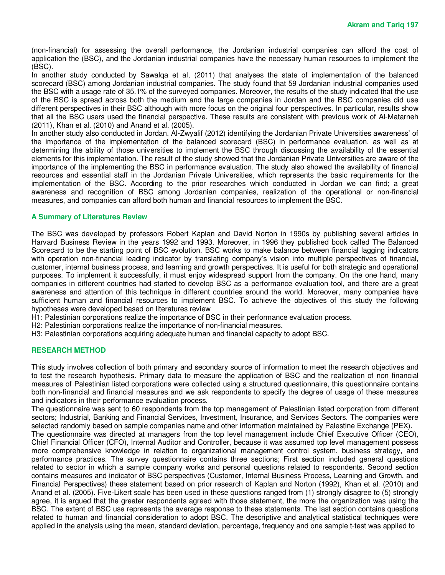(non-financial) for assessing the overall performance, the Jordanian industrial companies can afford the cost of application the (BSC), and the Jordanian industrial companies have the necessary human resources to implement the (BSC).

In another study conducted by Sawalqa et al, (2011) that analyses the state of implementation of the balanced scorecard (BSC) among Jordanian industrial companies. The study found that 59 Jordanian industrial companies used the BSC with a usage rate of 35.1% of the surveyed companies. Moreover, the results of the study indicated that the use of the BSC is spread across both the medium and the large companies in Jordan and the BSC companies did use different perspectives in their BSC although with more focus on the original four perspectives. In particular, results show that all the BSC users used the financial perspective. These results are consistent with previous work of Al-Matarneh (2011), Khan et al. (2010) and Anand et al. (2005).

In another study also conducted in Jordan. Al-Zwyalif (2012) identifying the Jordanian Private Universities awareness' of the importance of the implementation of the balanced scorecard (BSC) in performance evaluation, as well as at determining the ability of those universities to implement the BSC through discussing the availability of the essential elements for this implementation. The result of the study showed that the Jordanian Private Universities are aware of the importance of the implementing the BSC in performance evaluation. The study also showed the availability of financial resources and essential staff in the Jordanian Private Universities, which represents the basic requirements for the implementation of the BSC. According to the prior researches which conducted in Jordan we can find; a great awareness and recognition of BSC among Jordanian companies, realization of the operational or non-financial measures, and companies can afford both human and financial resources to implement the BSC.

#### **A Summary of Literatures Review**

The BSC was developed by professors Robert Kaplan and David Norton in 1990s by publishing several articles in Harvard Business Review in the years 1992 and 1993. Moreover, in 1996 they published book called The Balanced Scorecard to be the starting point of BSC evolution. BSC works to make balance between financial lagging indicators with operation non-financial leading indicator by translating company's vision into multiple perspectives of financial, customer, internal business process, and learning and growth perspectives. It is useful for both strategic and operational purposes. To implement it successfully, it must enjoy widespread support from the company. On the one hand, many companies in different countries had started to develop BSC as a performance evaluation tool, and there are a great awareness and attention of this technique in different countries around the world. Moreover, many companies have sufficient human and financial resources to implement BSC. To achieve the objectives of this study the following hypotheses were developed based on literatures review

H1: Palestinian corporations realize the importance of BSC in their performance evaluation process.

H2: Palestinian corporations realize the importance of non-financial measures.

H3: Palestinian corporations acquiring adequate human and financial capacity to adopt BSC.

#### **RESEARCH METHOD**

This study involves collection of both primary and secondary source of information to meet the research objectives and to test the research hypothesis. Primary data to measure the application of BSC and the realization of non financial measures of Palestinian listed corporations were collected using a structured questionnaire, this questionnaire contains both non-financial and financial measures and we ask respondents to specify the degree of usage of these measures and indicators in their performance evaluation process.

The questionnaire was sent to 60 respondents from the top management of Palestinian listed corporation from different sectors; Industrial, Banking and Financial Services, Investment, Insurance, and Services Sectors. The companies were selected randomly based on sample companies name and other information maintained by Palestine Exchange (PEX).

The questionnaire was directed at managers from the top level management include Chief Executive Officer (CEO), Chief Financial Officer (CFO), Internal Auditor and Controller, because it was assumed top level management possess more comprehensive knowledge in relation to organizational management control system, business strategy, and performance practices. The survey questionnaire contains three sections; First section included general questions related to sector in which a sample company works and personal questions related to respondents. Second section contains measures and indicator of BSC perspectives (Customer, Internal Business Process, Learning and Growth, and Financial Perspectives) these statement based on prior research of Kaplan and Norton (1992), Khan et al. (2010) and Anand et al. (2005). Five-Likert scale has been used in these questions ranged from (1) strongly disagree to (5) strongly agree, it is argued that the greater respondents agreed with those statement, the more the organization was using the BSC. The extent of BSC use represents the average response to these statements. The last section contains questions related to human and financial consideration to adopt BSC. The descriptive and analytical statistical techniques were applied in the analysis using the mean, standard deviation, percentage, frequency and one sample t-test was applied to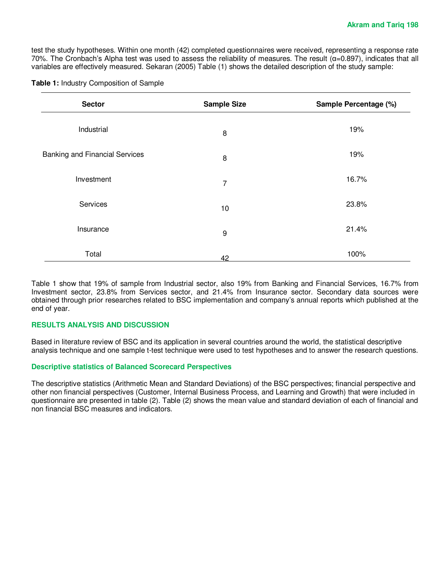test the study hypotheses. Within one month (42) completed questionnaires were received, representing a response rate 70%. The Cronbach's Alpha test was used to assess the reliability of measures. The result  $(α=0.897)$ , indicates that all variables are effectively measured. Sekaran (2005) Table (1) shows the detailed description of the study sample:

| Table 1: Industry Composition of Sample |  |  |
|-----------------------------------------|--|--|
|-----------------------------------------|--|--|

| <b>Sector</b>                         | <b>Sample Size</b> | Sample Percentage (%) |  |
|---------------------------------------|--------------------|-----------------------|--|
| Industrial                            | 8                  | 19%                   |  |
| <b>Banking and Financial Services</b> | 8                  | 19%                   |  |
| Investment                            | 7                  | 16.7%                 |  |
| Services                              | 10 <sup>1</sup>    | 23.8%                 |  |
| Insurance                             | 9                  | 21.4%                 |  |
| Total                                 | 42                 | 100%                  |  |

Table 1 show that 19% of sample from Industrial sector, also 19% from Banking and Financial Services, 16.7% from Investment sector, 23.8% from Services sector, and 21.4% from Insurance sector. Secondary data sources were obtained through prior researches related to BSC implementation and company's annual reports which published at the end of year.

#### **RESULTS ANALYSIS AND DISCUSSION**

Based in literature review of BSC and its application in several countries around the world, the statistical descriptive analysis technique and one sample t-test technique were used to test hypotheses and to answer the research questions.

#### **Descriptive statistics of Balanced Scorecard Perspectives**

The descriptive statistics (Arithmetic Mean and Standard Deviations) of the BSC perspectives; financial perspective and other non financial perspectives (Customer, Internal Business Process, and Learning and Growth) that were included in questionnaire are presented in table (2). Table (2) shows the mean value and standard deviation of each of financial and non financial BSC measures and indicators.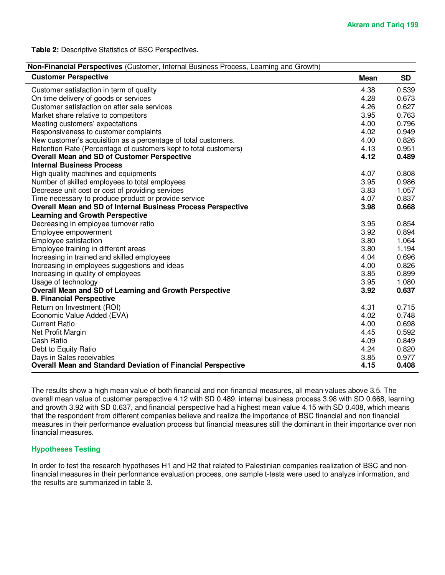**Table 2:** Descriptive Statistics of BSC Perspectives.

| <b>Customer Perspective</b>                                         | Mean | SD    |
|---------------------------------------------------------------------|------|-------|
| Customer satisfaction in term of quality                            | 4.38 | 0.539 |
| On time delivery of goods or services                               | 4.28 | 0.673 |
| Customer satisfaction on after sale services                        | 4.26 | 0.627 |
| Market share relative to competitors                                | 3.95 | 0.763 |
| Meeting customers' expectations                                     | 4.00 | 0.796 |
| Responsiveness to customer complaints                               | 4.02 | 0.949 |
| New customer's acquisition as a percentage of total customers.      | 4.00 | 0.826 |
| Retention Rate (Percentage of customers kept to total customers)    | 4.13 | 0.951 |
| <b>Overall Mean and SD of Customer Perspective</b>                  | 4.12 | 0.489 |
| <b>Internal Business Process</b>                                    |      |       |
| High quality machines and equipments                                | 4.07 | 0.808 |
| Number of skilled employees to total employees                      | 3.95 | 0.986 |
| Decrease unit cost or cost of providing services                    | 3.83 | 1.057 |
| Time necessary to produce product or provide service                | 4.07 | 0.837 |
| <b>Overall Mean and SD of Internal Business Process Perspective</b> | 3.98 | 0.668 |
| <b>Learning and Growth Perspective</b>                              |      |       |
| Decreasing in employee turnover ratio                               | 3.95 | 0.854 |
| Employee empowerment                                                | 3.92 | 0.894 |
| Employee satisfaction                                               | 3.80 | 1.064 |
| Employee training in different areas                                | 3.80 | 1.194 |
| Increasing in trained and skilled employees                         | 4.04 | 0.696 |
| Increasing in employees suggestions and ideas                       | 4.00 | 0.826 |
| Increasing in quality of employees                                  | 3.85 | 0.899 |
| Usage of technology                                                 | 3.95 | 1.080 |
| Overall Mean and SD of Learning and Growth Perspective              | 3.92 | 0.637 |
| <b>B. Financial Perspective</b>                                     |      |       |
| Return on Investment (ROI)                                          | 4.31 | 0.715 |
| Economic Value Added (EVA)                                          | 4.02 | 0.748 |
| <b>Current Ratio</b>                                                | 4.00 | 0.698 |
| Net Profit Margin                                                   | 4.45 | 0.592 |
| Cash Ratio                                                          | 4.09 | 0.849 |
| Debt to Equity Ratio                                                | 4.24 | 0.820 |
| Days in Sales receivables                                           | 3.85 | 0.977 |
| <b>Overall Mean and Standard Deviation of Financial Perspective</b> | 4.15 | 0.408 |

The results show a high mean value of both financial and non financial measures, all mean values above 3.5. The overall mean value of customer perspective 4.12 with SD 0.489, internal business process 3.98 with SD 0.668, learning and growth 3.92 with SD 0.637, and financial perspective had a highest mean value 4.15 with SD 0.408, which means that the respondent from different companies believe and realize the importance of BSC financial and non financial measures in their performance evaluation process but financial measures still the dominant in their importance over non financial measures.

#### **Hypotheses Testing**

In order to test the research hypotheses H1 and H2 that related to Palestinian companies realization of BSC and nonfinancial measures in their performance evaluation process, one sample t-tests were used to analyze information, and the results are summarized in table 3.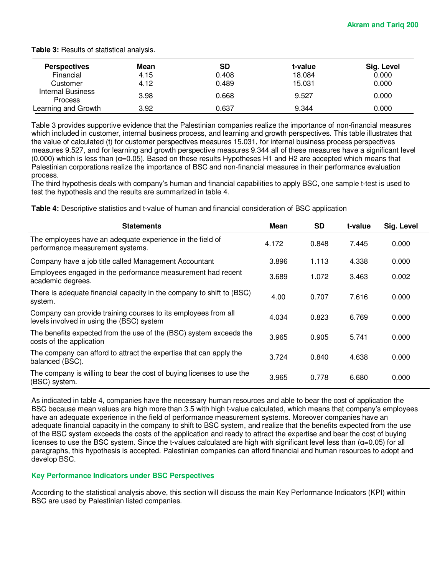| <b>Perspectives</b>                        | Mean | SD    | t-value | Sig. Level |
|--------------------------------------------|------|-------|---------|------------|
| Financial                                  | 4.15 | 0.408 | 18.084  | 0.000      |
| Customer                                   | 4.12 | 0.489 | 15.031  | 0.000      |
| <b>Internal Business</b><br><b>Process</b> | 3.98 | 0.668 | 9.527   | 0.000      |
| Learning and Growth                        | 3.92 | 0.637 | 9.344   | 0.000      |

**Table 3:** Results of statistical analysis.

Table 3 provides supportive evidence that the Palestinian companies realize the importance of non-financial measures which included in customer, internal business process, and learning and growth perspectives. This table illustrates that the value of calculated (t) for customer perspectives measures 15.031, for internal business process perspectives measures 9.527, and for learning and growth perspective measures 9.344 all of these measures have a significant level (0.000) which is less than (α=0.05). Based on these results Hypotheses H1 and H2 are accepted which means that Palestinian corporations realize the importance of BSC and non-financial measures in their performance evaluation process.

The third hypothesis deals with company's human and financial capabilities to apply BSC, one sample t-test is used to test the hypothesis and the results are summarized in table 4.

**Table 4:** Descriptive statistics and t-value of human and financial consideration of BSC application

| <b>Statements</b>                                                                                           | Mean  | <b>SD</b> | t-value | Sig. Level |
|-------------------------------------------------------------------------------------------------------------|-------|-----------|---------|------------|
| The employees have an adequate experience in the field of<br>performance measurement systems.               | 4.172 | 0.848     | 7.445   | 0.000      |
| Company have a job title called Management Accountant                                                       | 3.896 | 1.113     | 4.338   | 0.000      |
| Employees engaged in the performance measurement had recent<br>academic degrees.                            | 3.689 | 1.072     | 3.463   | 0.002      |
| There is adequate financial capacity in the company to shift to (BSC)<br>system.                            | 4.00  | 0.707     | 7.616   | 0.000      |
| Company can provide training courses to its employees from all<br>levels involved in using the (BSC) system | 4.034 | 0.823     | 6.769   | 0.000      |
| The benefits expected from the use of the (BSC) system exceeds the<br>costs of the application              | 3.965 | 0.905     | 5.741   | 0.000      |
| The company can afford to attract the expertise that can apply the<br>balanced (BSC).                       | 3.724 | 0.840     | 4.638   | 0.000      |
| The company is willing to bear the cost of buying licenses to use the<br>(BSC) system.                      | 3.965 | 0.778     | 6.680   | 0.000      |

As indicated in table 4, companies have the necessary human resources and able to bear the cost of application the BSC because mean values are high more than 3.5 with high t-value calculated, which means that company's employees have an adequate experience in the field of performance measurement systems. Moreover companies have an adequate financial capacity in the company to shift to BSC system, and realize that the benefits expected from the use of the BSC system exceeds the costs of the application and ready to attract the expertise and bear the cost of buying licenses to use the BSC system. Since the t-values calculated are high with significant level less than (α=0.05) for all paragraphs, this hypothesis is accepted. Palestinian companies can afford financial and human resources to adopt and develop BSC.

#### **Key Performance Indicators under BSC Perspectives**

According to the statistical analysis above, this section will discuss the main Key Performance Indicators (KPI) within BSC are used by Palestinian listed companies.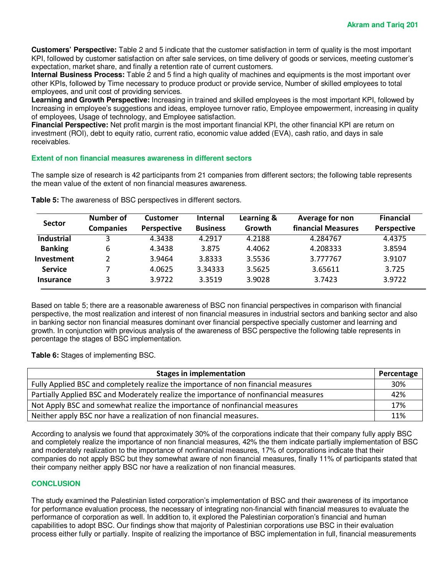**Customers' Perspective:** Table 2 and 5 indicate that the customer satisfaction in term of quality is the most important KPI, followed by customer satisfaction on after sale services, on time delivery of goods or services, meeting customer's expectation, market share, and finally a retention rate of current customers.

**Internal Business Process:** Table 2 and 5 find a high quality of machines and equipments is the most important over other KPIs, followed by Time necessary to produce product or provide service, Number of skilled employees to total employees, and unit cost of providing services.

**Learning and Growth Perspective:** Increasing in trained and skilled employees is the most important KPI, followed by Increasing in employee's suggestions and ideas, employee turnover ratio, Employee empowerment, increasing in quality of employees, Usage of technology, and Employee satisfaction.

**Financial Perspective:** Net profit margin is the most important financial KPI, the other financial KPI are return on investment (ROI), debt to equity ratio, current ratio, economic value added (EVA), cash ratio, and days in sale receivables.

#### **Extent of non financial measures awareness in different sectors**

The sample size of research is 42 participants from 21 companies from different sectors; the following table represents the mean value of the extent of non financial measures awareness.

| <b>Sector</b>     | Number of        | <b>Customer</b>    | <b>Internal</b> | Learning & | Average for non    | <b>Financial</b>   |
|-------------------|------------------|--------------------|-----------------|------------|--------------------|--------------------|
|                   | <b>Companies</b> | <b>Perspective</b> | <b>Business</b> | Growth     | financial Measures | <b>Perspective</b> |
| <b>Industrial</b> |                  | 4.3438             | 4.2917          | 4.2188     | 4.284767           | 4.4375             |
| <b>Banking</b>    | 6                | 4.3438             | 3.875           | 4.4062     | 4.208333           | 3.8594             |
| Investment        |                  | 3.9464             | 3.8333          | 3.5536     | 3.777767           | 3.9107             |
| <b>Service</b>    |                  | 4.0625             | 3.34333         | 3.5625     | 3.65611            | 3.725              |
| <b>Insurance</b>  | 3                | 3.9722             | 3.3519          | 3.9028     | 3.7423             | 3.9722             |

**Table 5:** The awareness of BSC perspectives in different sectors.

Based on table 5; there are a reasonable awareness of BSC non financial perspectives in comparison with financial perspective, the most realization and interest of non financial measures in industrial sectors and banking sector and also in banking sector non financial measures dominant over financial perspective specially customer and learning and growth. In conjunction with previous analysis of the awareness of BSC perspective the following table represents in percentage the stages of BSC implementation.

**Table 6:** Stages of implementing BSC.

| <b>Stages in implementation</b>                                                      | Percentage |
|--------------------------------------------------------------------------------------|------------|
| Fully Applied BSC and completely realize the importance of non financial measures    | 30%        |
| Partially Applied BSC and Moderately realize the importance of nonfinancial measures | 42%        |
| Not Apply BSC and somewhat realize the importance of nonfinancial measures           | 17%        |
| Neither apply BSC nor have a realization of non financial measures.                  | 11%        |

According to analysis we found that approximately 30% of the corporations indicate that their company fully apply BSC and completely realize the importance of non financial measures, 42% the them indicate partially implementation of BSC and moderately realization to the importance of nonfinancial measures, 17% of corporations indicate that their companies do not apply BSC but they somewhat aware of non financial measures, finally 11% of participants stated that their company neither apply BSC nor have a realization of non financial measures.

#### **CONCLUSION**

The study examined the Palestinian listed corporation's implementation of BSC and their awareness of its importance for performance evaluation process, the necessary of integrating non-financial with financial measures to evaluate the performance of corporation as well. In addition to, it explored the Palestinian corporation's financial and human capabilities to adopt BSC. Our findings show that majority of Palestinian corporations use BSC in their evaluation process either fully or partially. Inspite of realizing the importance of BSC implementation in full, financial measurements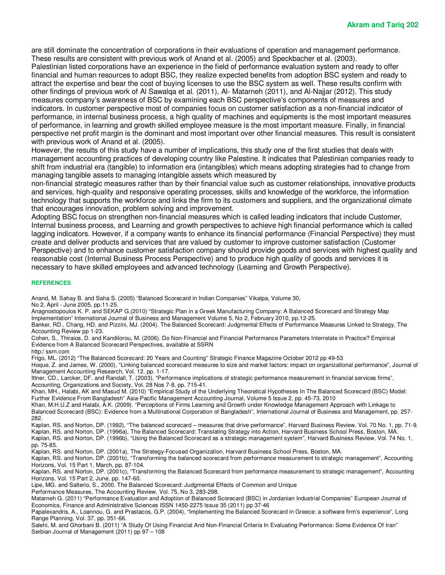are still dominate the concentration of corporations in their evaluations of operation and management performance. These results are consistent with previous work of Anand et al. (2005) and Speckbacher et al. (2003). Palestinian listed corporations have an experience in the field of performance evaluation system and ready to offer

financial and human resources to adopt BSC, they realize expected benefits from adoption BSC system and ready to attract the expertise and bear the cost of buying licenses to use the BSC system as well. These results confirm with other findings of previous work of Al Sawalqa et al. (2011), Al- Matarneh (2011), and Al-Najjar (2012). This study measures company's awareness of BSC by examining each BSC perspective's components of measures and indicators. In customer perspective most of companies focus on customer satisfaction as a non-financial indicator of performance, in internal business process, a high quality of machines and equipments is the most important measures of performance, in learning and growth skilled employee measure is the most important measure. Finally, in financial perspective net profit margin is the dominant and most important over other financial measures. This result is consistent with previous work of Anand et al. (2005).

However, the results of this study have a number of implications, this study one of the first studies that deals with management accounting practices of developing country like Palestine. It indicates that Palestinian companies ready to shift from industrial era (tangible) to information era (intangibles) which means adopting strategies had to change from managing tangible assets to managing intangible assets which measured by

non-financial strategic measures rather than by their financial value such as customer relationships, innovative products and services, high-quality and responsive operating processes, skills and knowledge of the workforce, the information technology that supports the workforce and links the firm to its customers and suppliers, and the organizational climate that encourages innovation, problem solving and improvement.

Adopting BSC focus on strengthen non-financial measures which is called leading indicators that include Customer, Internal business process, and Learning and growth perspectives to achieve high financial performance which is called lagging indicators. However, if a company wants to enhance its financial performance (Financial Perspective) they must create and deliver products and services that are valued by customer to improve customer satisfaction (Customer Perspective) and to enhance customer satisfaction company should provide goods and services with highest quality and reasonable cost (Internal Business Process Perspective) and to produce high quality of goods and services it is necessary to have skilled employees and advanced technology (Learning and Growth Perspective).

#### **REFERENCES**

Anand, M. Sahay B. and Saha S. (2005) "Balanced Scorecard in Indian Companies" Vikalpa, Volume 30, No 2, April - June 2005, pp.11-25.

Anagnostopoulos K. P. and SEKAP G.(2010) "Strategic Plan in a Greek Manufacturing Company: A Balanced Scorecard and Strategy Map Implementation" International Journal of Business and Management Volume 5, No 2, February 2010, pp.12-25.

Banker, RD., Chang, HD. and Pizzini, MJ. (2004). The Balanced Scorecard: Judgmental Effects of Performance Measures Linked to Strategy, The Accounting Review pp 1-23.

Cohen, S., Thiraios, D. and Kandilorou, M. (2006). Do Non-Financial and Financial Performance Parameters Interrelate in Practice? Empirical Evidence from A Balanced Scorecard Perspectives, available at SSRN

http:/ ssrn.com

Frigo, ML. (2012) "The Balanced Scorecard: 20 Years and Counting" Strategic Finance Magazine October 2012 pp 49-53

Hoque, Z. and James, W. (2000), "Linking balanced scorecard measures to size and market factors: impact on organizational performance", Journal of Management Accounting Research, Vol. 12, pp. 1-17.

Ittner, CD., Larcker, DF. and Randall, T. (2003), "Performance implications of strategic performance measurement in financial services firms", Accounting, Organizations and Society, Vol. 28 Nos 7-8, pp. 715-41.

Khan, MH., Halabi, AK and Masud M. (2010) "Empirical Study of the Underlying Theoretical Hypotheses In The Balanced Scorecard (BSC) Model: Further Evidence From Bangladesh" Asia-Pacific Management Accounting Journal, Volume 5 Issue 2, pp. 45-73, 2010

Khan, M.H.U.Z and Halabi, A.K. (2009). "Perceptions of Firms Learning and Growth under Knowledge Management Approach with Linkage to Balanced Scorecard (BSC): Evidence from a Multinational Corporation of Bangladesh", International Journal of Business and Management, pp. 257- 282.

Kaplan, RS. and Norton, DP. (1992), "The balanced scorecard – measures that drive performance", Harvard Business Review, Vol. 70 No. 1, pp. 71-9. Kaplan, RS. and Norton, DP. (1996a), The Balanced Scorecard: Translating Strategy into Action, Harvard Business School Press, Boston, MA.

Kaplan, RS. and Norton, DP. (1996b), "Using the Balanced Scorecard as a strategic management system", Harvard Business Review, Vol. 74 No. 1, pp. 75-85.

Kaplan, RS. and Norton, DP. (2001a), The Strategy-Focused Organization, Harvard Business School Press, Boston, MA.

Kaplan, RS. and Norton, DP. (2001b), "Transforming the balanced scorecard from performance measurement to strategic management", Accounting Horizons, Vol. 15 Part 1, March, pp. 87-104.

Kaplan, RS. and Norton, DP. (2001c), "Transforming the Balanced Scorecard from performance measurement to strategic management", Accounting Horizons, Vol. 15 Part 2, June, pp. 147-60.

Lipe, MG. and Salterio, S., 2000. The Balanced Scorecard: Judgmental Effects of Common and Unique

Performance Measures, The Accounting Review, Vol. 75, No 3, 283-298.

Matarneh G. (2011) "Performance Evaluation and Adoption of Balanced Scorecard (BSC) in Jordanian Industrial Companies" European Journal of Economics, Finance and Administrative Sciences ISSN 1450-2275 Issue 35 (2011) pp 37-46

Papalexandris, A., Loannou, G. and Prastacos, G.P. (2004), "Implementing the Balanced Scorecard in Greece: a software firm's experience", Long Range Planning, Vol. 37, pp. 351-66.

Salehi, M. and Ghorbani B. (2011) "A Study Of Using Financial And Non-Financial Criteria In Evaluating Performance: Some Evidence Of Iran" Serbian Journal of Management (2011) pp 97 – 108